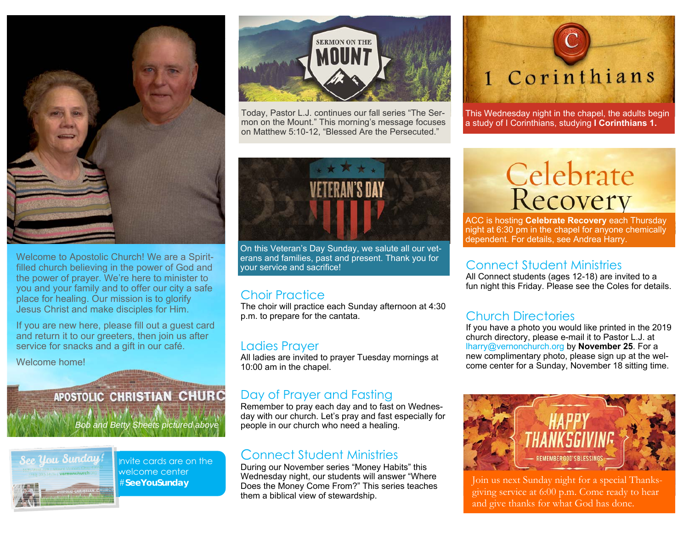

Welcome to Apostolic Church! We are a Spiritfilled church believing in the power of God and the power of prayer. We're here to minister to you and your family and to offer our city a safe place for healing. Our mission is to glorify Jesus Christ and make disciples for Him.

If you are new here, please fill out a guest card and return it to our greeters, then join us after service for snacks and a gift in our café.

Welcome home!

### APOSTOLIC CHRISTIAN CHURC

*Bob and Betty Sheets pictured above* 



Invite cards are on the welcome center #**SeeYouSunday** 



Today, Pastor L.J. continues our fall series "The Sermon on the Mount." This morning's message focuses on Matthew 5:10-12, "Blessed Are the Persecuted."



This Wednesday night in the chapel, the adults begin a study of I Corinthians, studying **I Corinthians 1.**



On this Veteran's Day Sunday, we salute all our veterans and families, past and present. Thank you for your service and sacrifice!

#### Choir Practice

The choir will practice each Sunday afternoon at 4:30 p.m. to prepare for the cantata.

#### Ladies Prayer

All ladies are invited to prayer Tuesday mornings at 10:00 am in the chapel.

#### Day of Prayer and Fasting

Remember to pray each day and to fast on Wednesday with our church. Let's pray and fast especially for people in our church who need a healing.

#### Connect Student Ministries

During our November series "Money Habits" this Wednesday night, our students will answer "Where Does the Money Come From?" This series teaches them a biblical view of stewardship.

# **Celebrate**<br>Recovery

ACC is hosting **Celebrate Recovery** each Thursday night at 6:30 pm in the chapel for anyone chemically dependent. For details, see Andrea Harry.

#### Connect Student Ministries

All Connect students (ages 12-18) are invited to a fun night this Friday. Please see the Coles for details.

#### Church Directories

If you have a photo you would like printed in the 2019 church directory, please e-mail it to Pastor L.J. at lharry@vernonchurch.org by **November 25**. For a new complimentary photo, please sign up at the welcome center for a Sunday, November 18 sitting time.



Join us next Sunday night for a special Thanksgiving service at 6:00 p.m. Come ready to hear and give thanks for what God has done.